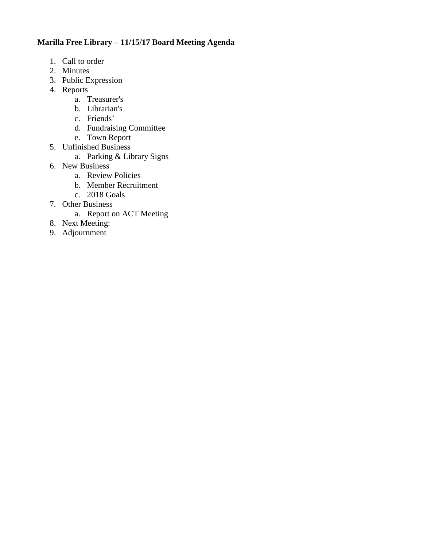# **Marilla Free Library – 11/15/17 Board Meeting Agenda**

- 1. Call to order
- 2. Minutes
- 3. Public Expression
- 4. Reports
	- a. Treasurer's
	- b. Librarian's
	- c. Friends'
	- d. Fundraising Committee
	- e. Town Report
- 5. Unfinished Business
	- a. Parking & Library Signs
- 6. New Business
	- a. Review Policies
	- b. Member Recruitment
	- c. 2018 Goals
- 7. Other Business
	- a. Report on ACT Meeting
- 8. Next Meeting:
- 9. Adjournment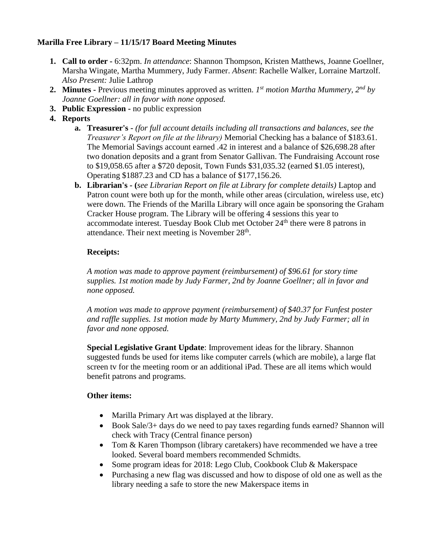# **Marilla Free Library – 11/15/17 Board Meeting Minutes**

- **1. Call to order -** 6:32pm. *In attendance*: Shannon Thompson, Kristen Matthews, Joanne Goellner, Marsha Wingate, Martha Mummery, Judy Farmer. *Absent*: Rachelle Walker, Lorraine Martzolf. *Also Present:* Julie Lathrop
- **2. Minutes -** Previous meeting minutes approved as written. *1 st motion Martha Mummery, 2nd by Joanne Goellner: all in favor with none opposed.*
- **3. Public Expression -** no public expression
- **4. Reports**
	- **a. Treasurer's -** *(for full account details including all transactions and balances, see the Treasurer's Report on file at the library)* Memorial Checking has a balance of \$183.61. The Memorial Savings account earned .42 in interest and a balance of \$26,698.28 after two donation deposits and a grant from Senator Gallivan. The Fundraising Account rose to \$19,058.65 after a \$720 deposit, Town Funds \$31,035.32 (earned \$1.05 interest), Operating \$1887.23 and CD has a balance of \$177,156.26.
	- **b. Librarian's - (***see Librarian Report on file at Library for complete details)* Laptop and Patron count were both up for the month, while other areas (circulation, wireless use, etc) were down. The Friends of the Marilla Library will once again be sponsoring the Graham Cracker House program. The Library will be offering 4 sessions this year to accommodate interest. Tuesday Book Club met October 24<sup>th</sup> there were 8 patrons in attendance. Their next meeting is November  $28<sup>th</sup>$ .

# **Receipts:**

*A motion was made to approve payment (reimbursement) of \$96.61 for story time supplies. 1st motion made by Judy Farmer, 2nd by Joanne Goellner; all in favor and none opposed.*

*A motion was made to approve payment (reimbursement) of \$40.37 for Funfest poster and raffle supplies. 1st motion made by Marty Mummery, 2nd by Judy Farmer; all in favor and none opposed.*

**Special Legislative Grant Update**: Improvement ideas for the library. Shannon suggested funds be used for items like computer carrels (which are mobile), a large flat screen tv for the meeting room or an additional iPad. These are all items which would benefit patrons and programs.

## **Other items:**

- Marilla Primary Art was displayed at the library.
- Book Sale/3+ days do we need to pay taxes regarding funds earned? Shannon will check with Tracy (Central finance person)
- Tom & Karen Thompson (library caretakers) have recommended we have a tree looked. Several board members recommended Schmidts.
- Some program ideas for 2018: Lego Club, Cookbook Club & Makerspace
- Purchasing a new flag was discussed and how to dispose of old one as well as the library needing a safe to store the new Makerspace items in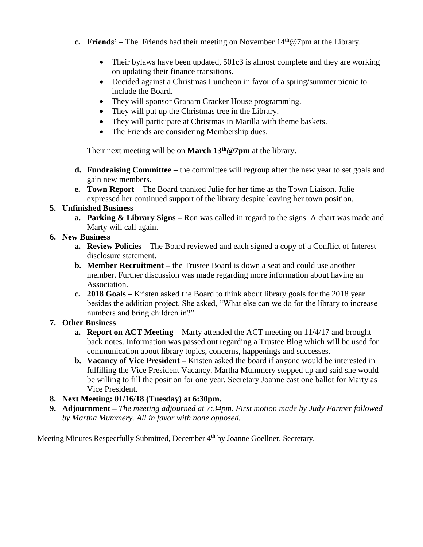- **c. Friends'** The Friends had their meeting on November  $14<sup>th</sup>@7pm$  at the Library.
	- Their bylaws have been updated, 501c3 is almost complete and they are working on updating their finance transitions.
	- Decided against a Christmas Luncheon in favor of a spring/summer picnic to include the Board.
	- They will sponsor Graham Cracker House programming.
	- They will put up the Christmas tree in the Library.
	- They will participate at Christmas in Marilla with theme baskets.
	- The Friends are considering Membership dues.

Their next meeting will be on **March 13th@7pm** at the library.

- **d. Fundraising Committee –** the committee will regroup after the new year to set goals and gain new members.
- **e. Town Report –** The Board thanked Julie for her time as the Town Liaison. Julie expressed her continued support of the library despite leaving her town position.

# **5. Unfinished Business**

**a. Parking & Library Signs –** Ron was called in regard to the signs. A chart was made and Marty will call again.

## **6. New Business**

- **a. Review Policies –** The Board reviewed and each signed a copy of a Conflict of Interest disclosure statement.
- **b. Member Recruitment –** the Trustee Board is down a seat and could use another member. Further discussion was made regarding more information about having an Association.
- **c. 2018 Goals –** Kristen asked the Board to think about library goals for the 2018 year besides the addition project. She asked, "What else can we do for the library to increase numbers and bring children in?"

## **7. Other Business**

- **a. Report on ACT Meeting –** Marty attended the ACT meeting on 11/4/17 and brought back notes. Information was passed out regarding a Trustee Blog which will be used for communication about library topics, concerns, happenings and successes.
- **b. Vacancy of Vice President –** Kristen asked the board if anyone would be interested in fulfilling the Vice President Vacancy. Martha Mummery stepped up and said she would be willing to fill the position for one year. Secretary Joanne cast one ballot for Marty as Vice President.
- **8. Next Meeting: 01/16/18 (Tuesday) at 6:30pm.**
- **9. Adjournment –** *The meeting adjourned at 7:34pm. First motion made by Judy Farmer followed by Martha Mummery. All in favor with none opposed.*

Meeting Minutes Respectfully Submitted, December 4<sup>th</sup> by Joanne Goellner, Secretary.